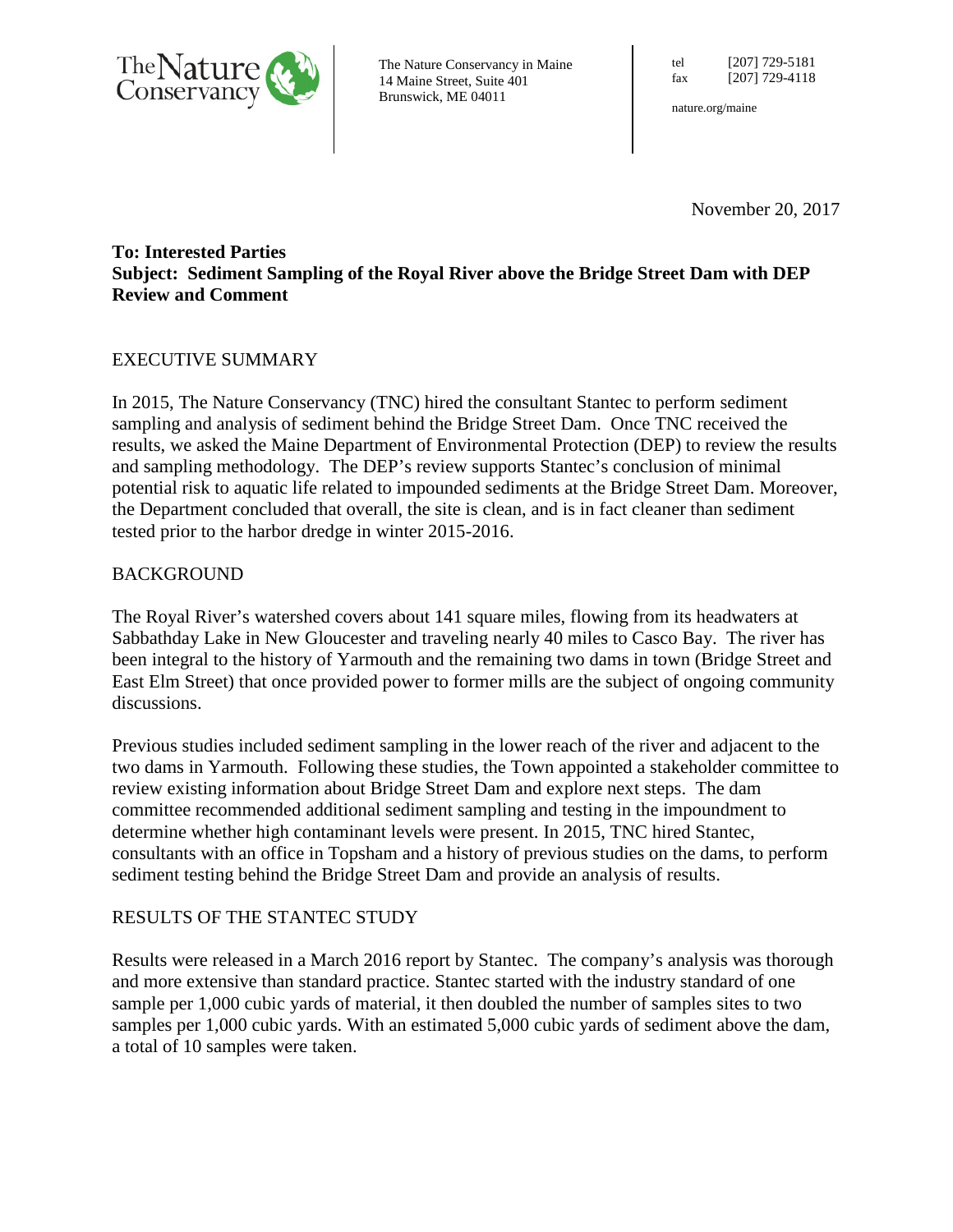

The Nature Conservancy in Maine 14 Maine Street, Suite 401 Brunswick, ME 04011

tel [207] 729-5181 fax [207] 729-4118

nature.org/maine

November 20, 2017

## **To: Interested Parties Subject: Sediment Sampling of the Royal River above the Bridge Street Dam with DEP Review and Comment**

# EXECUTIVE SUMMARY

In 2015, The Nature Conservancy (TNC) hired the consultant Stantec to perform sediment sampling and analysis of sediment behind the Bridge Street Dam. Once TNC received the results, we asked the Maine Department of Environmental Protection (DEP) to review the results and sampling methodology. The DEP's review supports Stantec's conclusion of minimal potential risk to aquatic life related to impounded sediments at the Bridge Street Dam. Moreover, the Department concluded that overall, the site is clean, and is in fact cleaner than sediment tested prior to the harbor dredge in winter 2015-2016.

## BACKGROUND

The Royal River's watershed covers about 141 square miles, flowing from its headwaters at Sabbathday Lake in New Gloucester and traveling nearly 40 miles to Casco Bay. The river has been integral to the history of Yarmouth and the remaining two dams in town (Bridge Street and East Elm Street) that once provided power to former mills are the subject of ongoing community discussions.

Previous studies included sediment sampling in the lower reach of the river and adjacent to the two dams in Yarmouth. Following these studies, the Town appointed a stakeholder committee to review existing information about Bridge Street Dam and explore next steps. The dam committee recommended additional sediment sampling and testing in the impoundment to determine whether high contaminant levels were present. In 2015, TNC hired Stantec, consultants with an office in Topsham and a history of previous studies on the dams, to perform sediment testing behind the Bridge Street Dam and provide an analysis of results.

## RESULTS OF THE STANTEC STUDY

Results were released in a March 2016 report by Stantec. The company's analysis was thorough and more extensive than standard practice. Stantec started with the industry standard of one sample per 1,000 cubic yards of material, it then doubled the number of samples sites to two samples per 1,000 cubic yards. With an estimated 5,000 cubic yards of sediment above the dam, a total of 10 samples were taken.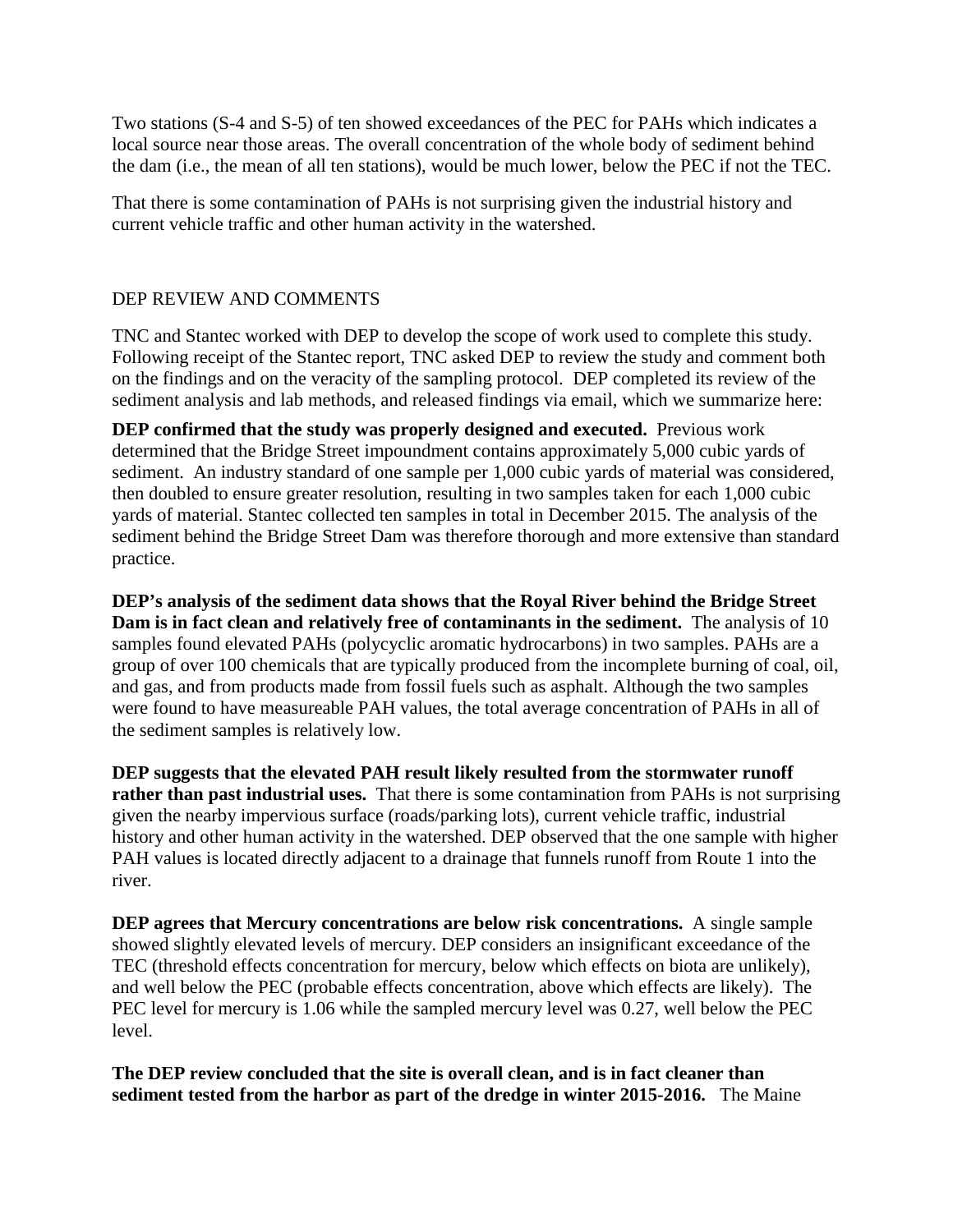Two stations (S-4 and S-5) of ten showed exceedances of the PEC for PAHs which indicates a local source near those areas. The overall concentration of the whole body of sediment behind the dam (i.e., the mean of all ten stations), would be much lower, below the PEC if not the TEC.

That there is some contamination of PAHs is not surprising given the industrial history and current vehicle traffic and other human activity in the watershed.

## DEP REVIEW AND COMMENTS

TNC and Stantec worked with DEP to develop the scope of work used to complete this study. Following receipt of the Stantec report, TNC asked DEP to review the study and comment both on the findings and on the veracity of the sampling protocol. DEP completed its review of the sediment analysis and lab methods, and released findings via email, which we summarize here:

**DEP confirmed that the study was properly designed and executed.** Previous work determined that the Bridge Street impoundment contains approximately 5,000 cubic yards of sediment. An industry standard of one sample per 1,000 cubic yards of material was considered, then doubled to ensure greater resolution, resulting in two samples taken for each 1,000 cubic yards of material. Stantec collected ten samples in total in December 2015. The analysis of the sediment behind the Bridge Street Dam was therefore thorough and more extensive than standard practice.

**DEP's analysis of the sediment data shows that the Royal River behind the Bridge Street Dam is in fact clean and relatively free of contaminants in the sediment.** The analysis of 10 samples found elevated PAHs (polycyclic aromatic hydrocarbons) in two samples. PAHs are a group of over 100 chemicals that are typically produced from the incomplete burning of coal, oil, and gas, and from products made from fossil fuels such as asphalt. Although the two samples were found to have measureable PAH values, the total average concentration of PAHs in all of the sediment samples is relatively low.

**DEP suggests that the elevated PAH result likely resulted from the stormwater runoff rather than past industrial uses.** That there is some contamination from PAHs is not surprising given the nearby impervious surface (roads/parking lots), current vehicle traffic, industrial history and other human activity in the watershed. DEP observed that the one sample with higher PAH values is located directly adjacent to a drainage that funnels runoff from Route 1 into the river.

**DEP agrees that Mercury concentrations are below risk concentrations.** A single sample showed slightly elevated levels of mercury. DEP considers an insignificant exceedance of the TEC (threshold effects concentration for mercury, below which effects on biota are unlikely), and well below the PEC (probable effects concentration, above which effects are likely). The PEC level for mercury is 1.06 while the sampled mercury level was 0.27, well below the PEC level.

**The DEP review concluded that the site is overall clean, and is in fact cleaner than sediment tested from the harbor as part of the dredge in winter 2015-2016.** The Maine